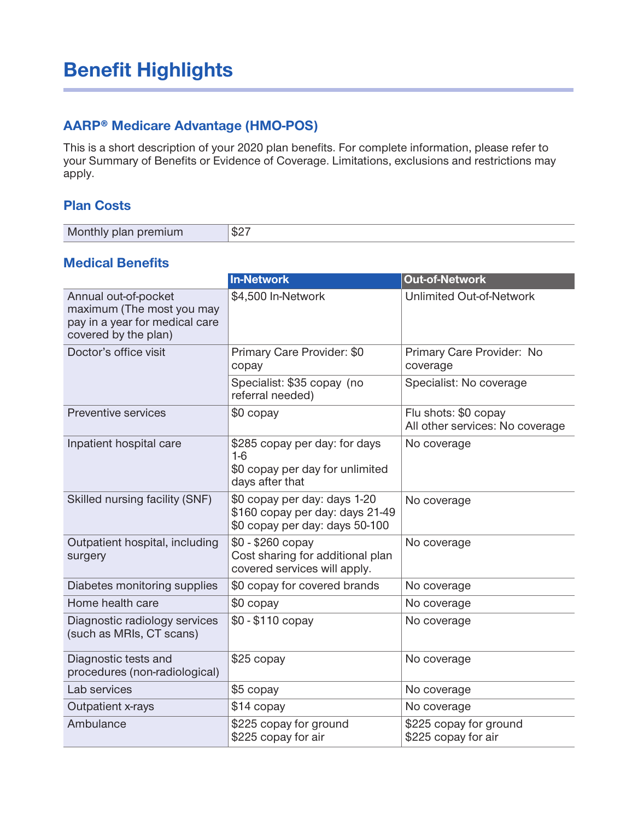# **Benefit Highlights**

### **AARP® Medicare Advantage (HMO-POS)**

**This is a short description of your 2020 plan benefits. For complete information, please refer to your Summary of Benefits or Evidence of Coverage. Limitations, exclusions and restrictions may apply.**

#### **Plan Costs**

| Monthly plan premium | $-$ 0.0 $-$<br>$\neg \phi$ |
|----------------------|----------------------------|
|----------------------|----------------------------|

#### **Medical Benefits**

|                                                                                                             | <b>In-Network</b>                                                                                 | <b>Out-of-Network</b>                                   |
|-------------------------------------------------------------------------------------------------------------|---------------------------------------------------------------------------------------------------|---------------------------------------------------------|
| Annual out-of-pocket<br>maximum (The most you may<br>pay in a year for medical care<br>covered by the plan) | \$4,500 In-Network                                                                                | <b>Unlimited Out-of-Network</b>                         |
| Doctor's office visit                                                                                       | Primary Care Provider: \$0<br>copay                                                               | Primary Care Provider: No<br>coverage                   |
|                                                                                                             | Specialist: \$35 copay (no<br>referral needed)                                                    | Specialist: No coverage                                 |
| Preventive services                                                                                         | \$0 copay                                                                                         | Flu shots: \$0 copay<br>All other services: No coverage |
| Inpatient hospital care                                                                                     | \$285 copay per day: for days<br>$1-6$<br>\$0 copay per day for unlimited<br>days after that      | No coverage                                             |
| Skilled nursing facility (SNF)                                                                              | \$0 copay per day: days 1-20<br>\$160 copay per day: days 21-49<br>\$0 copay per day: days 50-100 | No coverage                                             |
| Outpatient hospital, including<br>surgery                                                                   | $$0 - $260$ copay<br>Cost sharing for additional plan<br>covered services will apply.             | No coverage                                             |
| Diabetes monitoring supplies                                                                                | \$0 copay for covered brands                                                                      | No coverage                                             |
| Home health care                                                                                            | \$0 copay                                                                                         | No coverage                                             |
| Diagnostic radiology services<br>(such as MRIs, CT scans)                                                   | \$0 - \$110 copay                                                                                 | No coverage                                             |
| Diagnostic tests and<br>procedures (non-radiological)                                                       | \$25 copay                                                                                        | No coverage                                             |
| Lab services                                                                                                | \$5 copay                                                                                         | No coverage                                             |
| Outpatient x-rays                                                                                           | \$14 copay                                                                                        | No coverage                                             |
| Ambulance                                                                                                   | \$225 copay for ground<br>\$225 copay for air                                                     | \$225 copay for ground<br>\$225 copay for air           |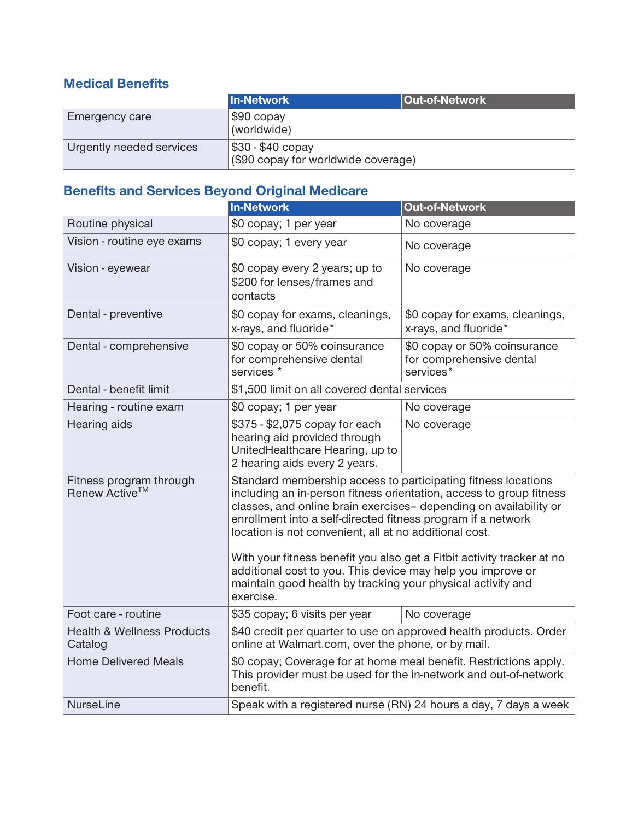## **Medical Benefits**

|                          | <b>In-Network</b>                                        | <b>Out-of-Network</b> |
|--------------------------|----------------------------------------------------------|-----------------------|
| Emergency care           | $ $ \$90 copay<br>(worldwide)                            |                       |
| Urgently needed services | \$30 - \$40 copay<br>(\$90 copay for worldwide coverage) |                       |

# **Benefits and Services Beyond Original Medicare**

|                                                      | <b>In-Network</b>                                                                                                                                                                                                                                                                                                                                                                                                                                                                                                                                        | <b>Out-of-Network</b>                                                 |
|------------------------------------------------------|----------------------------------------------------------------------------------------------------------------------------------------------------------------------------------------------------------------------------------------------------------------------------------------------------------------------------------------------------------------------------------------------------------------------------------------------------------------------------------------------------------------------------------------------------------|-----------------------------------------------------------------------|
| Routine physical                                     | \$0 copay; 1 per year                                                                                                                                                                                                                                                                                                                                                                                                                                                                                                                                    | No coverage                                                           |
| Vision - routine eye exams                           | \$0 copay; 1 every year                                                                                                                                                                                                                                                                                                                                                                                                                                                                                                                                  | No coverage                                                           |
| Vision - eyewear                                     | \$0 copay every 2 years; up to<br>\$200 for lenses/frames and<br>contacts                                                                                                                                                                                                                                                                                                                                                                                                                                                                                | No coverage                                                           |
| Dental - preventive                                  | \$0 copay for exams, cleanings,<br>x-rays, and fluoride*                                                                                                                                                                                                                                                                                                                                                                                                                                                                                                 | \$0 copay for exams, cleanings,<br>x-rays, and fluoride*              |
| Dental - comprehensive                               | \$0 copay or 50% coinsurance<br>for comprehensive dental<br>services <sup>*</sup>                                                                                                                                                                                                                                                                                                                                                                                                                                                                        | \$0 copay or 50% coinsurance<br>for comprehensive dental<br>services* |
| Dental - benefit limit                               | \$1,500 limit on all covered dental services                                                                                                                                                                                                                                                                                                                                                                                                                                                                                                             |                                                                       |
| Hearing - routine exam                               | \$0 copay; 1 per year                                                                                                                                                                                                                                                                                                                                                                                                                                                                                                                                    | No coverage                                                           |
| Hearing aids                                         | \$375 - \$2,075 copay for each<br>hearing aid provided through<br>UnitedHealthcare Hearing, up to<br>2 hearing aids every 2 years.                                                                                                                                                                                                                                                                                                                                                                                                                       | No coverage                                                           |
| Fitness program through<br>Renew Active <sup>™</sup> | Standard membership access to participating fitness locations<br>including an in-person fitness orientation, access to group fitness<br>classes, and online brain exercises- depending on availability or<br>enrollment into a self-directed fitness program if a network<br>location is not convenient, all at no additional cost.<br>With your fitness benefit you also get a Fitbit activity tracker at no<br>additional cost to you. This device may help you improve or<br>maintain good health by tracking your physical activity and<br>exercise. |                                                                       |
| Foot care - routine                                  | \$35 copay; 6 visits per year                                                                                                                                                                                                                                                                                                                                                                                                                                                                                                                            | No coverage                                                           |
| <b>Health &amp; Wellness Products</b><br>Catalog     | \$40 credit per quarter to use on approved health products. Order<br>online at Walmart.com, over the phone, or by mail.                                                                                                                                                                                                                                                                                                                                                                                                                                  |                                                                       |
| <b>Home Delivered Meals</b>                          | \$0 copay; Coverage for at home meal benefit. Restrictions apply.<br>This provider must be used for the in-network and out-of-network<br>benefit.                                                                                                                                                                                                                                                                                                                                                                                                        |                                                                       |
| <b>NurseLine</b>                                     | Speak with a registered nurse (RN) 24 hours a day, 7 days a week                                                                                                                                                                                                                                                                                                                                                                                                                                                                                         |                                                                       |